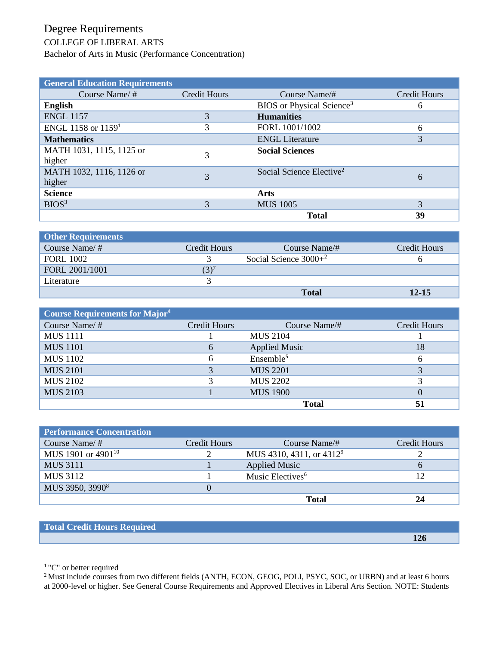## Degree Requirements

## COLLEGE OF LIBERAL ARTS

Bachelor of Arts in Music (Performance Concentration)

| <b>General Education Requirements</b> |                     |                                       |              |
|---------------------------------------|---------------------|---------------------------------------|--------------|
| Course Name/ $#$                      | <b>Credit Hours</b> | Course Name/#                         | Credit Hours |
| <b>English</b>                        |                     | BIOS or Physical Science <sup>3</sup> | 6            |
| <b>ENGL 1157</b>                      |                     | <b>Humanities</b>                     |              |
| ENGL 1158 or 1159 <sup>1</sup>        | 3                   | FORL 1001/1002                        | 6            |
| <b>Mathematics</b>                    |                     | <b>ENGL Literature</b>                | 3            |
| MATH 1031, 1115, 1125 or              | 3                   | <b>Social Sciences</b>                |              |
| higher                                |                     |                                       |              |
| MATH 1032, 1116, 1126 or              | 3                   | Social Science Elective <sup>2</sup>  | 6            |
| higher                                |                     |                                       |              |
| <b>Science</b>                        |                     | Arts                                  |              |
| BIOS <sup>3</sup>                     | 3                   | <b>MUS 1005</b>                       | 3            |
|                                       |                     | <b>Total</b>                          | 39           |

| <b>Other Requirements</b> |               |                          |              |
|---------------------------|---------------|--------------------------|--------------|
| Course Name/ $#$          | Credit Hours  | Course Name/#            | Credit Hours |
| <b>FORL 1002</b>          |               | Social Science $3000+^2$ |              |
| FORL 2001/1001            | $\mathcal{C}$ |                          |              |
| Literature                |               |                          |              |
|                           |               | <b>Total</b>             | $12 - 15$    |

| <b>Course Requirements for Major4</b> |              |                       |              |
|---------------------------------------|--------------|-----------------------|--------------|
| Course Name/#                         | Credit Hours | Course Name/#         | Credit Hours |
| <b>MUS</b> 1111                       |              | <b>MUS 2104</b>       |              |
| <b>MUS</b> 1101                       | 6            | <b>Applied Music</b>  | 18           |
| <b>MUS 1102</b>                       | 6            | Ensemble <sup>5</sup> | 6            |
| <b>MUS 2101</b>                       | 3            | <b>MUS 2201</b>       |              |
| <b>MUS 2102</b>                       | 3            | <b>MUS 2202</b>       |              |
| <b>MUS 2103</b>                       |              | <b>MUS 1900</b>       |              |
|                                       |              | <b>Total</b>          | 51           |

| <b>Performance Concentration</b> |              |                             |              |
|----------------------------------|--------------|-----------------------------|--------------|
| Course Name/ $#$                 | Credit Hours | Course Name/#               | Credit Hours |
| MUS 1901 or $4901^{10}$          |              | MUS 4310, 4311, or $4312^9$ |              |
| <b>MUS 3111</b>                  |              | <b>Applied Music</b>        | <sub>0</sub> |
| <b>MUS 3112</b>                  |              | Music Electives $6$         | 12           |
| MUS 3950, 3990 <sup>8</sup>      |              |                             |              |
|                                  |              | <b>Total</b>                | 24           |

| Total Credit Hours Required |     |
|-----------------------------|-----|
|                             | 126 |

<sup>1</sup>"C" or better required

<sup>2</sup> Must include courses from two different fields (ANTH, ECON, GEOG, POLI, PSYC, SOC, or URBN) and at least 6 hours at 2000-level or higher. See General Course Requirements and Approved Electives in Liberal Arts Section. NOTE: Students